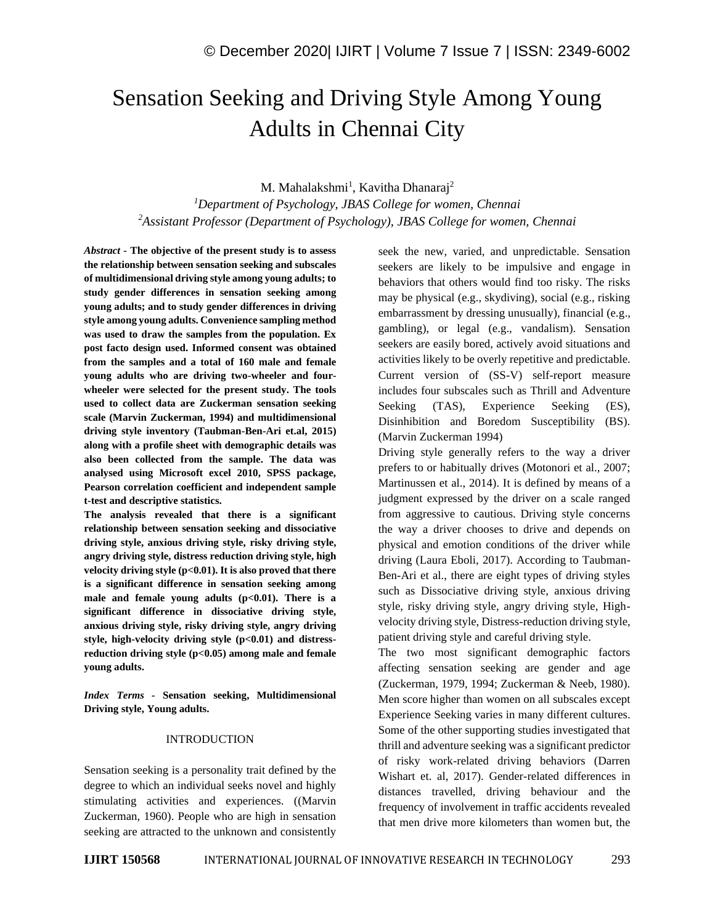# Sensation Seeking and Driving Style Among Young Adults in Chennai City

M. Mahalakshmi<sup>1</sup>, Kavitha Dhanaraj<sup>2</sup>

*<sup>1</sup>Department of Psychology, JBAS College for women, Chennai <sup>2</sup>Assistant Professor (Department of Psychology), JBAS College for women, Chennai*

*Abstract -* **The objective of the present study is to assess the relationship between sensation seeking and subscales of multidimensional driving style among young adults; to study gender differences in sensation seeking among young adults; and to study gender differences in driving style among young adults. Convenience sampling method was used to draw the samples from the population. Ex post facto design used. Informed consent was obtained from the samples and a total of 160 male and female young adults who are driving two-wheeler and fourwheeler were selected for the present study. The tools used to collect data are Zuckerman sensation seeking scale (Marvin Zuckerman, 1994) and multidimensional driving style inventory (Taubman-Ben-Ari et.al, 2015) along with a profile sheet with demographic details was also been collected from the sample. The data was analysed using Microsoft excel 2010, SPSS package, Pearson correlation coefficient and independent sample t-test and descriptive statistics.**

**The analysis revealed that there is a significant relationship between sensation seeking and dissociative driving style, anxious driving style, risky driving style, angry driving style, distress reduction driving style, high velocity driving style (p<0.01). It is also proved that there is a significant difference in sensation seeking among**  male and female young adults (p<0.01). There is a **significant difference in dissociative driving style, anxious driving style, risky driving style, angry driving style, high-velocity driving style (p<0.01) and distressreduction driving style (p<0.05) among male and female young adults.**

*Index Terms -* **Sensation seeking, Multidimensional Driving style, Young adults.**

#### INTRODUCTION

Sensation seeking is a personality trait defined by the degree to which an individual seeks novel and highly stimulating activities and experiences. ((Marvin Zuckerman, 1960). People who are high in sensation seeking are attracted to the unknown and consistently seek the new, varied, and unpredictable. Sensation seekers are likely to be impulsive and engage in behaviors that others would find too risky. The risks may be physical (e.g., skydiving), social (e.g., risking embarrassment by dressing unusually), financial (e.g., gambling), or legal (e.g., vandalism). Sensation seekers are easily bored, actively avoid situations and activities likely to be overly repetitive and predictable. Current version of (SS-V) self-report measure includes four subscales such as Thrill and Adventure Seeking (TAS), Experience Seeking (ES), Disinhibition and Boredom Susceptibility (BS). (Marvin Zuckerman 1994)

Driving style generally refers to the way a driver prefers to or habitually drives (Motonori et al., 2007; Martinussen et al., 2014). It is defined by means of a judgment expressed by the driver on a scale ranged from aggressive to cautious. Driving style concerns the way a driver chooses to drive and depends on physical and emotion conditions of the driver while driving (Laura Eboli, 2017). According to Taubman-Ben-Ari et al., there are eight types of driving styles such as Dissociative driving style, anxious driving style, risky driving style, angry driving style, Highvelocity driving style, Distress-reduction driving style, patient driving style and careful driving style.

The two most significant demographic factors affecting sensation seeking are gender and age (Zuckerman, 1979, 1994; Zuckerman & Neeb, 1980). Men score higher than women on all subscales except Experience Seeking varies in many different cultures. Some of the other supporting studies investigated that thrill and adventure seeking was a significant predictor of risky work-related driving behaviors (Darren Wishart et. al, 2017). Gender-related differences in distances travelled, driving behaviour and the frequency of involvement in traffic accidents revealed that men drive more kilometers than women but, the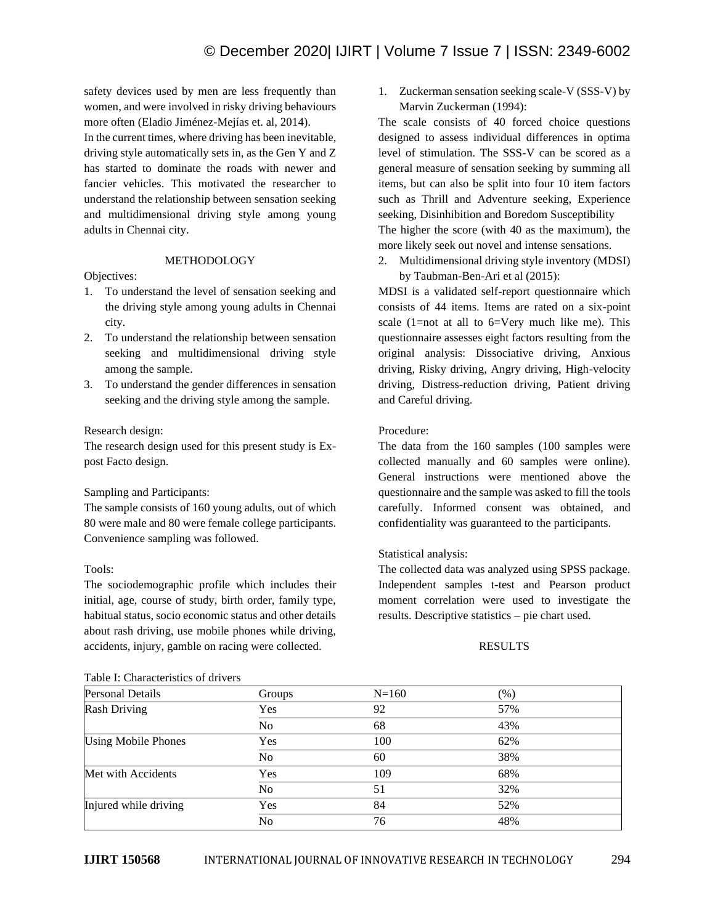safety devices used by men are less frequently than women, and were involved in risky driving behaviours more often (Eladio Jiménez-Mejías et. al, 2014).

In the current times, where driving has been inevitable, driving style automatically sets in, as the Gen Y and Z has started to dominate the roads with newer and fancier vehicles. This motivated the researcher to understand the relationship between sensation seeking and multidimensional driving style among young adults in Chennai city.

### METHODOLOGY

### Objectives:

- 1. To understand the level of sensation seeking and the driving style among young adults in Chennai city.
- 2. To understand the relationship between sensation seeking and multidimensional driving style among the sample.
- 3. To understand the gender differences in sensation seeking and the driving style among the sample.

### Research design:

The research design used for this present study is Expost Facto design.

#### Sampling and Participants:

The sample consists of 160 young adults, out of which 80 were male and 80 were female college participants. Convenience sampling was followed.

# Tools:

The sociodemographic profile which includes their initial, age, course of study, birth order, family type, habitual status, socio economic status and other details about rash driving, use mobile phones while driving, accidents, injury, gamble on racing were collected.

## Table I: Characteristics of drivers

1. Zuckerman sensation seeking scale-V (SSS-V) by Marvin Zuckerman (1994):

The scale consists of 40 forced choice questions designed to assess individual differences in optima level of stimulation. The SSS-V can be scored as a general measure of sensation seeking by summing all items, but can also be split into four 10 item factors such as Thrill and Adventure seeking, Experience seeking, Disinhibition and Boredom Susceptibility The higher the score (with 40 as the maximum), the more likely seek out novel and intense sensations.

2. Multidimensional driving style inventory (MDSI) by Taubman-Ben-Ari et al (2015):

MDSI is a validated self-report questionnaire which consists of 44 items. Items are rated on a six-point scale  $(1=not at all to 6=Very much like me)$ . This questionnaire assesses eight factors resulting from the original analysis: Dissociative driving, Anxious driving, Risky driving, Angry driving, High-velocity driving, Distress-reduction driving, Patient driving and Careful driving.

# Procedure:

The data from the 160 samples (100 samples were collected manually and 60 samples were online). General instructions were mentioned above the questionnaire and the sample was asked to fill the tools carefully. Informed consent was obtained, and confidentiality was guaranteed to the participants.

# Statistical analysis:

The collected data was analyzed using SPSS package. Independent samples t-test and Pearson product moment correlation were used to investigate the results. Descriptive statistics – pie chart used.

#### RESULTS

| Table 1. Characteristics of directs |            |           |     |  |  |
|-------------------------------------|------------|-----------|-----|--|--|
| <b>Personal Details</b>             | Groups     | $N = 160$ | (%) |  |  |
| <b>Rash Driving</b>                 | <b>Yes</b> | 92        | 57% |  |  |
|                                     | No         | 68        | 43% |  |  |
| <b>Using Mobile Phones</b>          | Yes        | 100       | 62% |  |  |
|                                     | No         | 60        | 38% |  |  |
| Met with Accidents                  | Yes        | 109       | 68% |  |  |
|                                     | No         | 51        | 32% |  |  |
| Injured while driving               | Yes        | 84        | 52% |  |  |
|                                     | No         | 76        | 48% |  |  |
|                                     |            |           |     |  |  |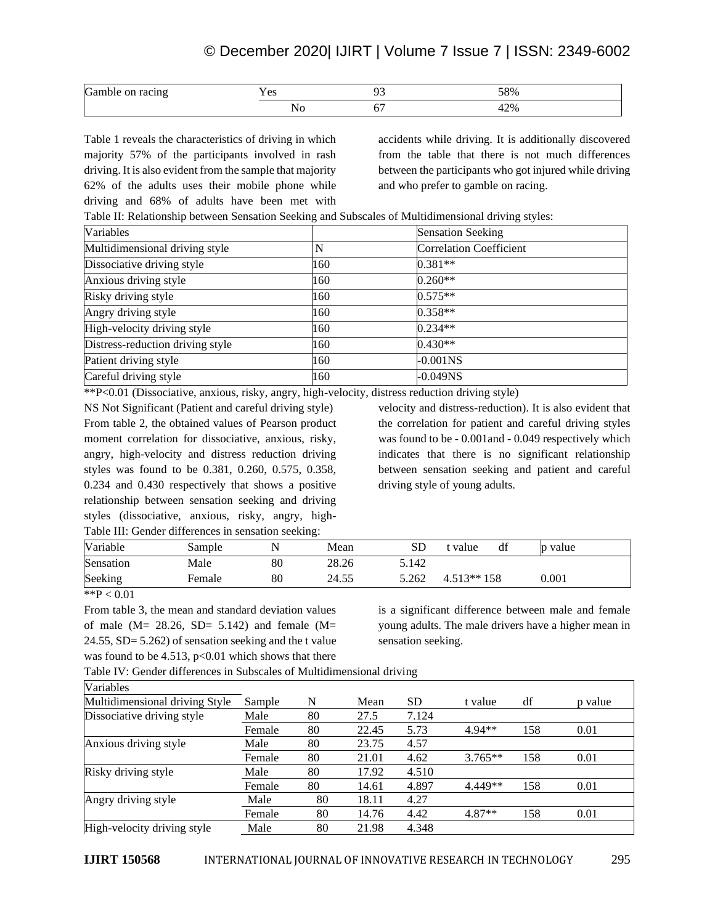# © December 2020| IJIRT | Volume 7 Issue 7 | ISSN: 2349-6002

| Gamble<br>racing<br>on | $\sim$<br>◡ | n, | 58%    |
|------------------------|-------------|----|--------|
|                        |             | v  | $+2\%$ |

Table 1 reveals the characteristics of driving in which majority 57% of the participants involved in rash driving. It is also evident from the sample that majority 62% of the adults uses their mobile phone while driving and 68% of adults have been met with accidents while driving. It is additionally discovered from the table that there is not much differences between the participants who got injured while driving and who prefer to gamble on racing.

Table II: Relationship between Sensation Seeking and Subscales of Multidimensional driving styles:

| Variables                        |     | <b>Sensation Seeking</b>       |
|----------------------------------|-----|--------------------------------|
| Multidimensional driving style   | N   | <b>Correlation Coefficient</b> |
| Dissociative driving style       | 160 | $0.381**$                      |
| Anxious driving style            | 160 | $0.260**$                      |
| Risky driving style              | 160 | $0.575**$                      |
| Angry driving style              | 160 | $0.358**$                      |
| High-velocity driving style      | 160 | $0.234**$                      |
| Distress-reduction driving style | 160 | $0.430**$                      |
| Patient driving style            | 160 | $-0.001$ NS                    |
| Careful driving style            | 160 | $-0.049NS$                     |

\*\*P<0.01 (Dissociative, anxious, risky, angry, high-velocity, distress reduction driving style)

NS Not Significant (Patient and careful driving style) From table 2, the obtained values of Pearson product moment correlation for dissociative, anxious, risky, angry, high-velocity and distress reduction driving styles was found to be 0.381, 0.260, 0.575, 0.358, 0.234 and 0.430 respectively that shows a positive relationship between sensation seeking and driving styles (dissociative, anxious, risky, angry, high-Table III: Gender differences in sensation seeking:

velocity and distress-reduction). It is also evident that the correlation for patient and careful driving styles was found to be - 0.001and - 0.049 respectively which indicates that there is no significant relationship between sensation seeking and patient and careful driving style of young adults.

|                 |        |    | ັ     |       |                 |       |  |
|-----------------|--------|----|-------|-------|-----------------|-------|--|
| <b>Variable</b> | Sample |    | Mean  | SD    | df<br>t value t | value |  |
| Sensation       | Male   | 80 | 28.26 | 5.142 |                 |       |  |
| Seeking         | Female | 80 | 24.55 | 5.262 | $4.513**158$    | 0.001 |  |
| .               |        |    |       |       |                 |       |  |

 $*$  $P < 0.01$ 

From table 3, the mean and standard deviation values of male  $(M= 28.26, SD= 5.142)$  and female  $(M=$ 24.55, SD= 5.262) of sensation seeking and the t value was found to be  $4.513$ ,  $p<0.01$  which shows that there

is a significant difference between male and female young adults. The male drivers have a higher mean in sensation seeking.

Table IV: Gender differences in Subscales of Multidimensional driving

| Variables                      |        |    |       |       |           |     |         |
|--------------------------------|--------|----|-------|-------|-----------|-----|---------|
| Multidimensional driving Style | Sample | N  | Mean  | SD.   | t value   | df  | p value |
| Dissociative driving style     | Male   | 80 | 27.5  | 7.124 |           |     |         |
|                                | Female | 80 | 22.45 | 5.73  | $4.94**$  | 158 | 0.01    |
| Anxious driving style          | Male   | 80 | 23.75 | 4.57  |           |     |         |
|                                | Female | 80 | 21.01 | 4.62  | $3.765**$ | 158 | 0.01    |
| Risky driving style            | Male   | 80 | 17.92 | 4.510 |           |     |         |
|                                | Female | 80 | 14.61 | 4.897 | 4.449**   | 158 | 0.01    |
| Angry driving style            | Male   | 80 | 18.11 | 4.27  |           |     |         |
|                                | Female | 80 | 14.76 | 4.42  | $4.87**$  | 158 | 0.01    |
| High-velocity driving style    | Male   | 80 | 21.98 | 4.348 |           |     |         |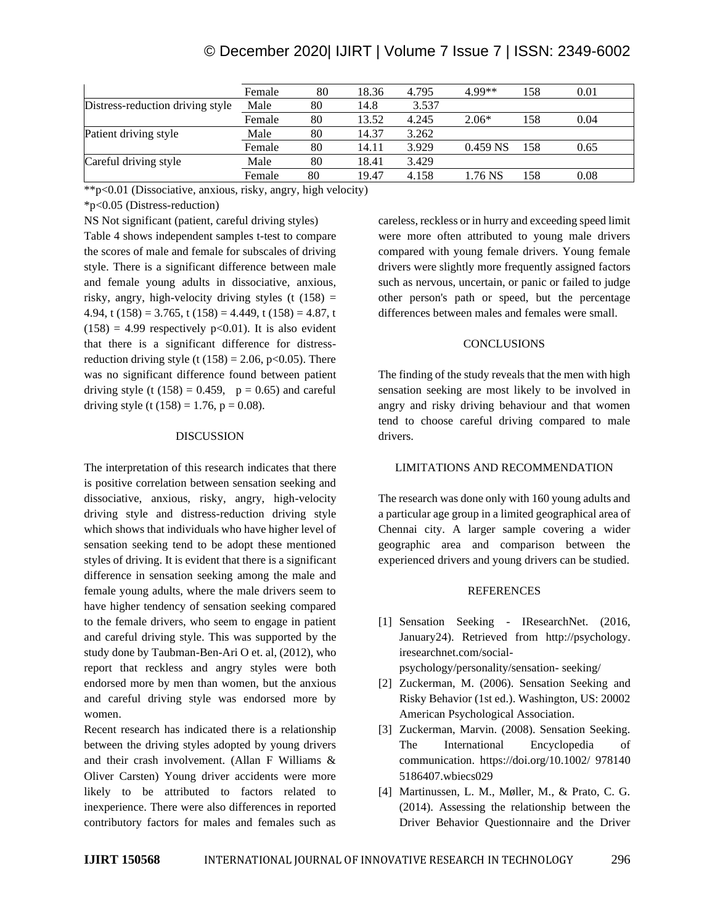# © December 2020| IJIRT | Volume 7 Issue 7 | ISSN: 2349-6002

|                                  | Female | 80 | 18.36 | 4.795 | 4.99**     | 158 | 0.01 |
|----------------------------------|--------|----|-------|-------|------------|-----|------|
| Distress-reduction driving style | Male   | 80 | 14.8  | 3.537 |            |     |      |
|                                  | Female | 80 | 13.52 | 4.245 | $2.06*$    | 158 | 0.04 |
| Patient driving style            | Male   | 80 | 14.37 | 3.262 |            |     |      |
|                                  | Female | 80 | 14.11 | 3.929 | $0.459$ NS | 158 | 0.65 |
| Careful driving style            | Male   | 80 | 18.41 | 3.429 |            |     |      |
|                                  | Female | 80 | 19.47 | 4.158 | .76 NS     | 158 | 0.08 |

\*\*p<0.01 (Dissociative, anxious, risky, angry, high velocity)

\*p<0.05 (Distress-reduction)

NS Not significant (patient, careful driving styles) Table 4 shows independent samples t-test to compare the scores of male and female for subscales of driving style. There is a significant difference between male and female young adults in dissociative, anxious, risky, angry, high-velocity driving styles (t  $(158)$  = 4.94, t  $(158) = 3.765$ , t  $(158) = 4.449$ , t  $(158) = 4.87$ , t  $(158) = 4.99$  respectively p<0.01). It is also evident that there is a significant difference for distressreduction driving style (t  $(158) = 2.06$ , p<0.05). There was no significant difference found between patient driving style (t (158) = 0.459,  $p = 0.65$ ) and careful driving style (t  $(158) = 1.76$ , p = 0.08).

## DISCUSSION

The interpretation of this research indicates that there is positive correlation between sensation seeking and dissociative, anxious, risky, angry, high-velocity driving style and distress-reduction driving style which shows that individuals who have higher level of sensation seeking tend to be adopt these mentioned styles of driving. It is evident that there is a significant difference in sensation seeking among the male and female young adults, where the male drivers seem to have higher tendency of sensation seeking compared to the female drivers, who seem to engage in patient and careful driving style. This was supported by the study done by Taubman-Ben-Ari O et. al, (2012), who report that reckless and angry styles were both endorsed more by men than women, but the anxious and careful driving style was endorsed more by women.

Recent research has indicated there is a relationship between the driving styles adopted by young drivers and their crash involvement. (Allan F Williams & Oliver Carsten) Young driver accidents were more likely to be attributed to factors related to inexperience. There were also differences in reported contributory factors for males and females such as careless, reckless or in hurry and exceeding speed limit were more often attributed to young male drivers compared with young female drivers. Young female drivers were slightly more frequently assigned factors such as nervous, uncertain, or panic or failed to judge other person's path or speed, but the percentage differences between males and females were small.

### **CONCLUSIONS**

The finding of the study reveals that the men with high sensation seeking are most likely to be involved in angry and risky driving behaviour and that women tend to choose careful driving compared to male drivers.

# LIMITATIONS AND RECOMMENDATION

The research was done only with 160 young adults and a particular age group in a limited geographical area of Chennai city. A larger sample covering a wider geographic area and comparison between the experienced drivers and young drivers can be studied.

# REFERENCES

- [1] Sensation Seeking IResearchNet. (2016, January24). Retrieved from http://psychology. iresearchnet.com/social
	- psychology/personality/sensation- seeking/
- [2] Zuckerman, M. (2006). Sensation Seeking and Risky Behavior (1st ed.). Washington, US: 20002 American Psychological Association.
- [3] Zuckerman, Marvin. (2008). Sensation Seeking. The International Encyclopedia of communication. https://doi.org/10.1002/ 978140 5186407.wbiecs029
- [4] Martinussen, L. M., Møller, M., & Prato, C. G. (2014). Assessing the relationship between the Driver Behavior Questionnaire and the Driver